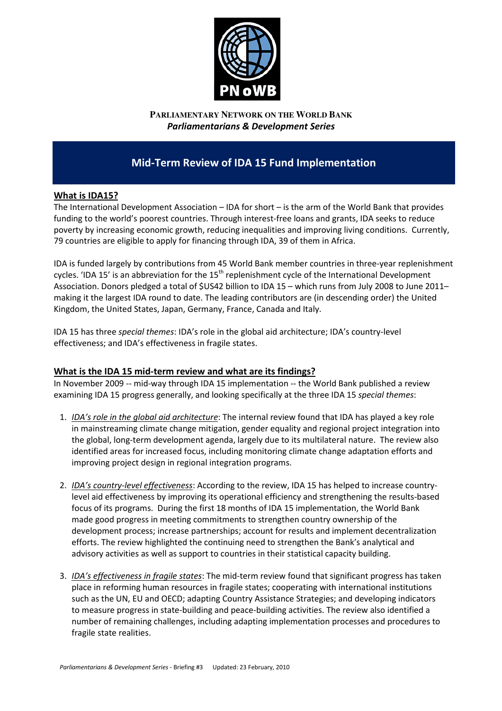

**PARLIAMENTARY NETWORK ON THE WORLD BANK** Parliamentarians & Development Series

# Mid-Term Review of IDA 15 Fund Implementation

## What is IDA15?

The International Development Association – IDA for short – is the arm of the World Bank that provides funding to the world's poorest countries. Through interest-free loans and grants, IDA seeks to reduce poverty by increasing economic growth, reducing inequalities and improving living conditions. Currently, 79 countries are eligible to apply for financing through IDA, 39 of them in Africa.

IDA is funded largely by contributions from 45 World Bank member countries in three-year replenishment cycles. 'IDA 15' is an abbreviation for the  $15<sup>th</sup>$  replenishment cycle of the International Development Association. Donors pledged a total of \$US42 billion to IDA 15 – which runs from July 2008 to June 2011– making it the largest IDA round to date. The leading contributors are (in descending order) the United Kingdom, the United States, Japan, Germany, France, Canada and Italy.

IDA 15 has three special themes: IDA's role in the global aid architecture; IDA's country-level effectiveness; and IDA's effectiveness in fragile states.

## What is the IDA 15 mid-term review and what are its findings?

In November 2009 -- mid-way through IDA 15 implementation -- the World Bank published a review examining IDA 15 progress generally, and looking specifically at the three IDA 15 special themes:

- 1. IDA's role in the global aid architecture: The internal review found that IDA has played a key role in mainstreaming climate change mitigation, gender equality and regional project integration into the global, long-term development agenda, largely due to its multilateral nature. The review also identified areas for increased focus, including monitoring climate change adaptation efforts and improving project design in regional integration programs.
- 2. IDA's country-level effectiveness: According to the review, IDA 15 has helped to increase countrylevel aid effectiveness by improving its operational efficiency and strengthening the results-based focus of its programs. During the first 18 months of IDA 15 implementation, the World Bank made good progress in meeting commitments to strengthen country ownership of the development process; increase partnerships; account for results and implement decentralization efforts. The review highlighted the continuing need to strengthen the Bank's analytical and advisory activities as well as support to countries in their statistical capacity building.
- 3. IDA's effectiveness in fragile states: The mid-term review found that significant progress has taken place in reforming human resources in fragile states; cooperating with international institutions such as the UN, EU and OECD; adapting Country Assistance Strategies; and developing indicators to measure progress in state-building and peace-building activities. The review also identified a number of remaining challenges, including adapting implementation processes and procedures to fragile state realities.